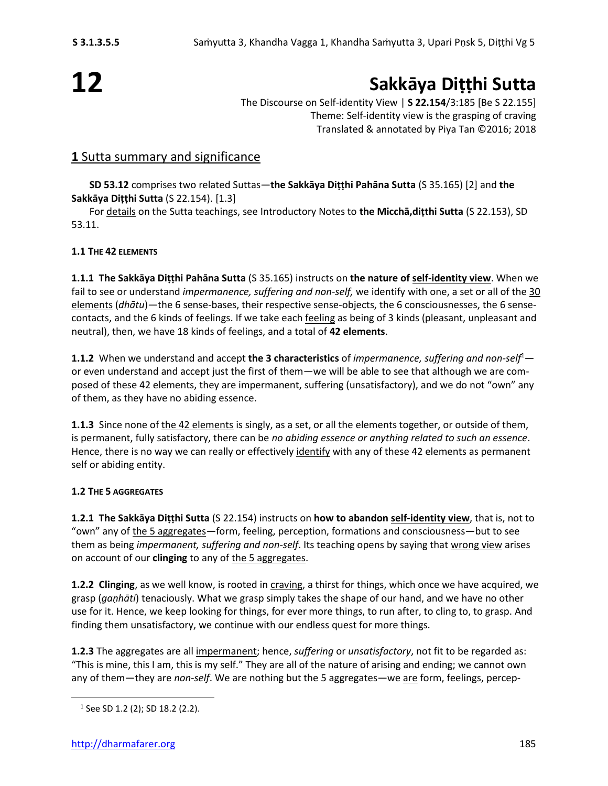# **12**

## **Sakkāya Diṭṭhi Sutta**

The Discourse on Self-identity View | **S 22.154**/3:185 [Be S 22.155] Theme: Self-identity view is the grasping of craving Translated & annotated by Piya Tan ©2016; 2018

#### **1** Sutta summary and significance

**SD 53.12** comprises two related Suttas—**the Sakkāya Diṭṭhi Pahāna Sutta** (S 35.165) [2] and **the Sakkāya Diṭṭhi Sutta** (S 22.154). [1.3]

For details on the Sutta teachings, see Introductory Notes to **the Micchā,diṭthi Sutta** (S 22.153), SD 53.11.

#### **1.1 THE 42 ELEMENTS**

**1.1.1 The Sakkāya Diṭṭhi Pahāna Sutta** (S 35.165) instructs on **the nature of self-identity view**. When we fail to see or understand *impermanence, suffering and non-self,* we identify with one, a set or all of the 30 elements (*dhātu*)—the 6 sense-bases, their respective sense-objects, the 6 consciousnesses, the 6 sensecontacts, and the 6 kinds of feelings. If we take each feeling as being of 3 kinds (pleasant, unpleasant and neutral), then, we have 18 kinds of feelings, and a total of **42 elements**.

**1.1.2** When we understand and accept the 3 characteristics of *impermanence, suffering and non-self*<sup>1</sup> or even understand and accept just the first of them—we will be able to see that although we are composed of these 42 elements, they are impermanent, suffering (unsatisfactory), and we do not "own" any of them, as they have no abiding essence.

**1.1.3** Since none of the 42 elements is singly, as a set, or all the elements together, or outside of them, is permanent, fully satisfactory, there can be *no abiding essence or anything related to such an essence*. Hence, there is no way we can really or effectively identify with any of these 42 elements as permanent self or abiding entity.

#### **1.2 THE 5 AGGREGATES**

**1.2.1 The Sakkāya Diṭṭhi Sutta** (S 22.154) instructs on **how to abandon self-identity view**, that is, not to "own" any of the 5 aggregates—form, feeling, perception, formations and consciousness—but to see them as being *impermanent, suffering and non-self*. Its teaching opens by saying that wrong view arises on account of our **clinging** to any of the 5 aggregates.

**1.2.2 Clinging**, as we well know, is rooted in craving, a thirst for things, which once we have acquired, we grasp (*gaṇhāti*) tenaciously. What we grasp simply takes the shape of our hand, and we have no other use for it. Hence, we keep looking for things, for ever more things, to run after, to cling to, to grasp. And finding them unsatisfactory, we continue with our endless quest for more things.

**1.2.3** The aggregates are all impermanent; hence, *suffering* or *unsatisfactory*, not fit to be regarded as: "This is mine, this I am, this is my self." They are all of the nature of arising and ending; we cannot own any of them—they are *non-self*. We are nothing but the 5 aggregates—we are form, feelings, percep-

<sup>&</sup>lt;sup>1</sup> See SD 1.2 (2); SD 18.2 (2.2).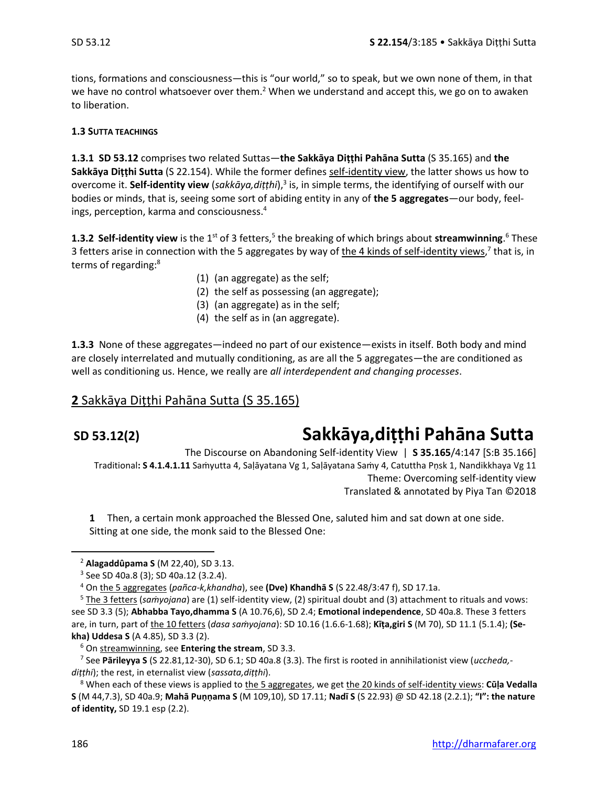tions, formations and consciousness—this is "our world," so to speak, but we own none of them, in that we have no control whatsoever over them.<sup>2</sup> When we understand and accept this, we go on to awaken to liberation.

#### **1.3 SUTTA TEACHINGS**

**1.3.1 SD 53.12** comprises two related Suttas—**the Sakkāya Diṭṭhi Pahāna Sutta** (S 35.165) and **the Sakkāya Diṭṭhi Sutta** (S 22.154). While the former defines self-identity view, the latter shows us how to overcome it. Self-identity view (sakkāya,diṭṭhi),<sup>3</sup> is, in simple terms, the identifying of ourself with our bodies or minds, that is, seeing some sort of abiding entity in any of **the 5 aggregates**—our body, feelings, perception, karma and consciousness. 4

**1.3.2 Self-identity view** is the 1<sup>st</sup> of 3 fetters,<sup>5</sup> the breaking of which brings about **streamwinning**.<sup>6</sup> These 3 fetters arise in connection with the 5 aggregates by way of the 4 kinds of self-identity views,<sup>7</sup> that is, in terms of regarding:<sup>8</sup>

- (1) (an aggregate) as the self;
- (2) the self as possessing (an aggregate);
- (3) (an aggregate) as in the self;
- (4) the self as in (an aggregate).

**1.3.3** None of these aggregates—indeed no part of our existence—exists in itself. Both body and mind are closely interrelated and mutually conditioning, as are all the 5 aggregates—the are conditioned as well as conditioning us. Hence, we really are *all interdependent and changing processes*.

#### **2** Sakkāya Diṭṭhi Pahāna Sutta (S 35.165)

## **SD 53.12(2) Sakkāya,diṭṭhi Pahāna Sutta**

The Discourse on Abandoning Self-identity View | **S 35.165**/4:147 [S:B 35.166] Traditional**: S 4.1.4.1.11** Saṁyutta 4, Saḷāyatana Vg 1, Saḷāyatana Saṁy 4, Catuttha Pṇsk 1, Nandikkhaya Vg 11 Theme: Overcoming self-identity view Translated & annotated by Piya Tan ©2018

**1** Then, a certain monk approached the Blessed One, saluted him and sat down at one side. Sitting at one side, the monk said to the Blessed One:

<sup>2</sup> **Alagaddûpama S** (M 22,40), SD 3.13.

<sup>3</sup> See SD 40a.8 (3); SD 40a.12 (3.2.4).

<sup>4</sup> On the 5 aggregates (*pañca-k,khandha*), see **(Dve) Khandhā S** (S 22.48/3:47 f), SD 17.1a.

<sup>5</sup> The 3 fetters (*saṁyojana*) are (1) self-identity view, (2) spiritual doubt and (3) attachment to rituals and vows: see SD 3.3 (5); **Abhabba Tayo,dhamma S** (A 10.76,6), SD 2.4; **Emotional independence**, SD 40a.8. These 3 fetters are, in turn, part of the 10 fetters (*dasa saṁyojana*): SD 10.16 (1.6.6-1.68); **Kīṭa,giri S** (M 70), SD 11.1 (5.1.4); **(Sekha) Uddesa S** (A 4.85), SD 3.3 (2).

<sup>6</sup> On streamwinning, see **Entering the stream**, SD 3.3.

<sup>7</sup> See **Pārileyya S** (S 22.81,12-30), SD 6.1; SD 40a.8 (3.3). The first is rooted in annihilationist view (*uccheda, diṭṭhi*); the rest, in eternalist view (*sassata,diṭṭhi*).

<sup>8</sup> When each of these views is applied to the 5 aggregates, we get the 20 kinds of self-identity views: **Cūḷa Vedalla S** (M 44,7.3), SD 40a.9; **Mahā Puṇṇama S** (M 109,10), SD 17.11; **Nadī S** (S 22.93) @ SD 42.18 (2.2.1); **"I": the nature of identity,** SD 19.1 esp (2.2).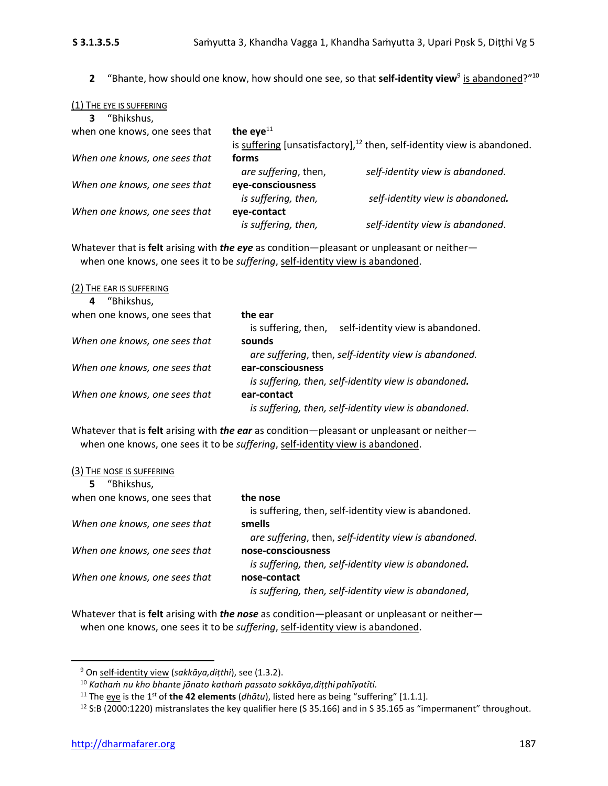**2** "Bhante, how should one know, how should one see, so that **self-identity view**<sup>9</sup> is abandoned?"<sup>10</sup>

| (1) THE EYE IS SUFFERING      |                      |                                                                               |
|-------------------------------|----------------------|-------------------------------------------------------------------------------|
| "Bhikshus,<br>3               |                      |                                                                               |
| when one knows, one sees that | the eye $^{11}$      |                                                                               |
|                               |                      | is suffering [unsatisfactory], $^{12}$ then, self-identity view is abandoned. |
| When one knows, one sees that | forms                |                                                                               |
|                               | are suffering, then, | self-identity view is abandoned.                                              |
| When one knows, one sees that | eye-consciousness    |                                                                               |
|                               | is suffering, then,  | self-identity view is abandoned.                                              |
| When one knows, one sees that | eye-contact          |                                                                               |
|                               | is suffering, then,  | self-identity view is abandoned.                                              |

Whatever that is **felt** arising with *the eye* as condition—pleasant or unpleasant or neither when one knows, one sees it to be *suffering*, self-identity view is abandoned.

| (2) THE EAR IS SUFFERING      |                                                         |
|-------------------------------|---------------------------------------------------------|
| "Bhikshus,<br>4               |                                                         |
| when one knows, one sees that | the ear                                                 |
|                               | self-identity view is abandoned.<br>is suffering, then, |
| When one knows, one sees that | sounds                                                  |
|                               | are suffering, then, self-identity view is abandoned.   |
| When one knows, one sees that | ear-consciousness                                       |
|                               | is suffering, then, self-identity view is abandoned.    |
| When one knows, one sees that | ear-contact                                             |
|                               | is suffering, then, self-identity view is abandoned.    |

Whatever that is **felt** arising with *the ear* as condition—pleasant or unpleasant or neither when one knows, one sees it to be *suffering*, self-identity view is abandoned.

| (3) THE NOSE IS SUFFERING |
|---------------------------|
|---------------------------|

| "Bhikshus,<br>5.              |                                                       |
|-------------------------------|-------------------------------------------------------|
| when one knows, one sees that | the nose                                              |
|                               | is suffering, then, self-identity view is abandoned.  |
| When one knows, one sees that | smells                                                |
|                               | are suffering, then, self-identity view is abandoned. |
| When one knows, one sees that | nose-consciousness                                    |
|                               | is suffering, then, self-identity view is abandoned.  |
| When one knows, one sees that | nose-contact                                          |
|                               | is suffering, then, self-identity view is abandoned,  |

Whatever that is **felt** arising with *the nose* as condition—pleasant or unpleasant or neither when one knows, one sees it to be *suffering*, self-identity view is abandoned.

<sup>9</sup> On self-identity view (*sakkāya,diṭthi*), see (1.3.2).

<sup>10</sup> *Kathaṁ nu kho bhante jānato kathaṁ passato sakkāya,diṭṭhi pahīyatîti.*

<sup>&</sup>lt;sup>11</sup> The eye is the 1<sup>st</sup> of the 42 elements (*dhātu*), listed here as being "suffering" [1.1.1].

<sup>&</sup>lt;sup>12</sup> S:B (2000:1220) mistranslates the key qualifier here (S 35.166) and in S 35.165 as "impermanent" throughout.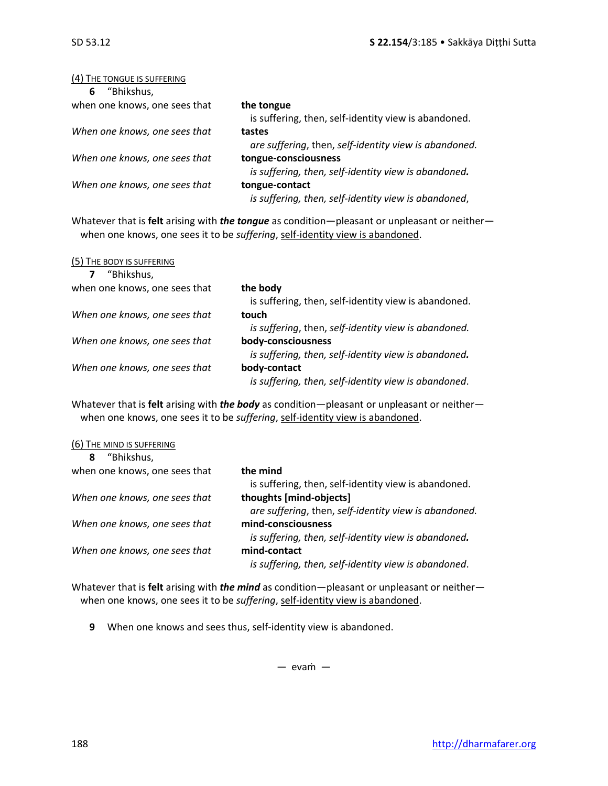#### (4) THE TONGUE IS SUFFERING

| "Bhikshus,<br>6               |                                                       |
|-------------------------------|-------------------------------------------------------|
| when one knows, one sees that | the tongue                                            |
|                               | is suffering, then, self-identity view is abandoned.  |
| When one knows, one sees that | tastes                                                |
|                               | are suffering, then, self-identity view is abandoned. |
| When one knows, one sees that | tongue-consciousness                                  |
|                               | is suffering, then, self-identity view is abandoned.  |
| When one knows, one sees that | tongue-contact                                        |
|                               | is suffering, then, self-identity view is abandoned,  |

Whatever that is **felt** arising with *the tongue* as condition—pleasant or unpleasant or neither when one knows, one sees it to be *suffering*, self-identity view is abandoned.

| (5) THE BODY IS SUFFERING     |                                                      |
|-------------------------------|------------------------------------------------------|
| "Bhikshus,<br>7               |                                                      |
| when one knows, one sees that | the body                                             |
|                               | is suffering, then, self-identity view is abandoned. |
| When one knows, one sees that | touch                                                |
|                               | is suffering, then, self-identity view is abandoned. |
| When one knows, one sees that | body-consciousness                                   |
|                               | is suffering, then, self-identity view is abandoned. |
| When one knows, one sees that | body-contact                                         |
|                               | is suffering, then, self-identity view is abandoned. |

Whatever that is **felt** arising with *the body* as condition—pleasant or unpleasant or neither when one knows, one sees it to be *suffering*, self-identity view is abandoned.

| (6) THE MIND IS SUFFERING     |                                                       |
|-------------------------------|-------------------------------------------------------|
| "Bhikshus,<br>8               |                                                       |
| when one knows, one sees that | the mind                                              |
|                               | is suffering, then, self-identity view is abandoned.  |
| When one knows, one sees that | thoughts [mind-objects]                               |
|                               | are suffering, then, self-identity view is abandoned. |
| When one knows, one sees that | mind-consciousness                                    |
|                               | is suffering, then, self-identity view is abandoned.  |
| When one knows, one sees that | mind-contact                                          |
|                               | is suffering, then, self-identity view is abandoned.  |
|                               |                                                       |

Whatever that is **felt** arising with *the mind* as condition—pleasant or unpleasant or neither when one knows, one sees it to be *suffering*, self-identity view is abandoned.

**9** When one knows and sees thus, self-identity view is abandoned.

 $-$  evam  $-$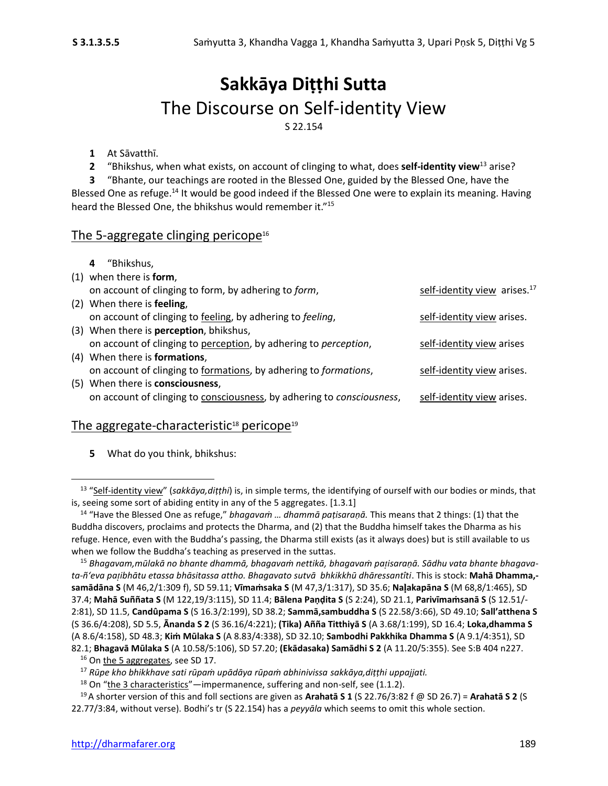### **Sakkāya Diṭṭhi Sutta** The Discourse on Self-identity View S 22.154

#### **1** At Sāvatthī.

**2** "Bhikshus, when what exists, on account of clinging to what, does **self-identity view**<sup>13</sup> arise?

**3** "Bhante, our teachings are rooted in the Blessed One, guided by the Blessed One, have the Blessed One as refuge.<sup>14</sup> It would be good indeed if the Blessed One were to explain its meaning. Having heard the Blessed One, the bhikshus would remember it."<sup>15</sup>

#### The 5-aggregate clinging pericope $16$

| "Bhikshus.<br>4                                                        |                                          |
|------------------------------------------------------------------------|------------------------------------------|
| $(1)$ when there is form,                                              |                                          |
| on account of clinging to form, by adhering to form,                   | self-identity view arises. <sup>17</sup> |
| (2) When there is <b>feeling</b> ,                                     |                                          |
| on account of clinging to feeling, by adhering to feeling,             | self-identity view arises.               |
| (3) When there is <b>perception</b> , bhikshus,                        |                                          |
| on account of clinging to perception, by adhering to perception,       | self-identity view arises                |
| (4) When there is <b>formations</b> ,                                  |                                          |
| on account of clinging to formations, by adhering to formations,       | self-identity view arises.               |
| (5) When there is consciousness,                                       |                                          |
| on account of clinging to consciousness, by adhering to consciousness, | self-identity view arises.               |
|                                                                        |                                          |

#### The aggregate-characteristic $18$  pericope $19$

**5** What do you think, bhikshus:

<sup>13</sup> "Self-identity view" (*sakkāya,diṭṭhi*) is, in simple terms, the identifying of ourself with our bodies or minds, that is, seeing some sort of abiding entity in any of the 5 aggregates. [1.3.1]

<sup>14</sup> "Have the Blessed One as refuge," *bhagavaṁ … dhammā paṭisaraṇā.* This means that 2 things: (1) that the Buddha discovers, proclaims and protects the Dharma, and (2) that the Buddha himself takes the Dharma as his refuge. Hence, even with the Buddha's passing, the Dharma still exists (as it always does) but is still available to us when we follow the Buddha's teaching as preserved in the suttas.

<sup>15</sup> *Bhagavam,mūlakā no bhante dhammā, bhagavaṁ nettikā, bhagavaṁ paisaraṇā. Sādhu vata bhante bhagavata-ñ'eva paibhātu etassa bhāsitassa attho. Bhagavato sutvā bhkikkhū dhāressantîti*. This is stock: **Mahā Dhamma, samādāna S** (M 46,2/1:309 f), SD 59.11; **Vīmaṁsaka S** (M 47,3/1:317), SD 35.6; **Naakapāna S** (M 68,8/1:465), SD 37.4; **Mahā Suññata S** (M 122,19/3:115), SD 11.4; **Bālena Paṇḍita S** (S 2:24), SD 21.1, **Parivīmaṁsanā S** (S 12.51/- 2:81), SD 11.5, **Candûpama S** (S 16.3/2:199), SD 38.2; **Sammā,sambuddha S** (S 22.58/3:66), SD 49.10; **Sall'atthena S** (S 36.6/4:208), SD 5.5, **Ānanda S 2** (S 36.16/4:221); **(Tika) Añña Titthiyā S** (A 3.68/1:199), SD 16.4; **Loka,dhamma S**  (A 8.6/4:158), SD 48.3; **Kiṁ Mūlaka S** (A 8.83/4:338), SD 32.10; **Sambodhi Pakkhika Dhamma S** (A 9.1/4:351), SD 82.1; **Bhagavā Mūlaka S** (A 10.58/5:106), SD 57.20; **(Ekādasaka) Samādhi S 2** (A 11.20/5:355). See S:B 404 n227.

<sup>&</sup>lt;sup>16</sup> On the 5 aggregates, see SD 17.

<sup>17</sup> *Rūpe kho bhikkhave sati rūpaṁ upādāya rūpaṁ abhinivissa sakkāya,diṭṭhi uppajjati.*

 $18$  On "the 3 characteristics"—impermanence, suffering and non-self, see (1.1.2).

<sup>19</sup>A shorter version of this and foll sections are given as **Arahatā S 1** (S 22.76/3:82 f @ SD 26.7) = **Arahatā S 2** (S 22.77/3:84, without verse). Bodhi's tr (S 22.154) has a *peyyāla* which seems to omit this whole section.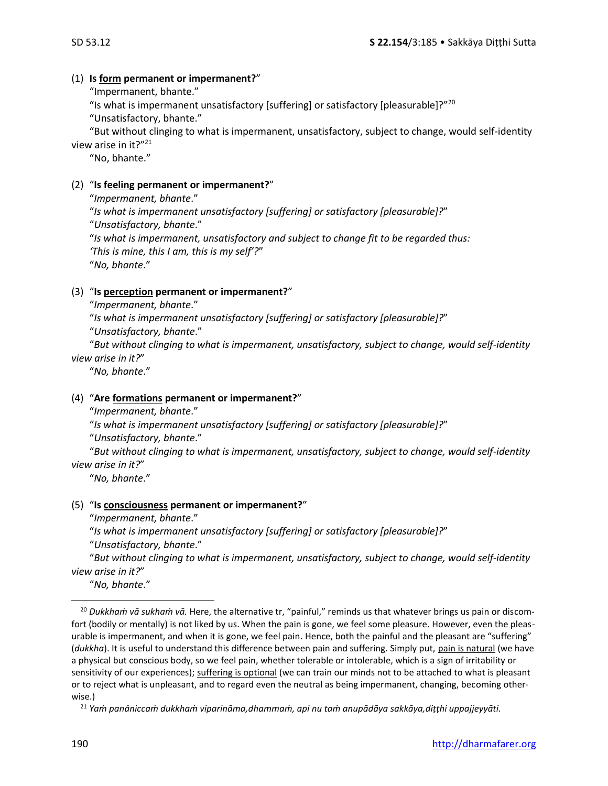#### (1) **Is form permanent or impermanent?**"

"Impermanent, bhante."

"Is what is impermanent unsatisfactory [suffering] or satisfactory [pleasurable]?"<sup>20</sup>

"Unsatisfactory, bhante."

"But without clinging to what is impermanent, unsatisfactory, subject to change, would self-identity view arise in it?"<sup>21</sup>

"No, bhante."

#### (2) "**Is feeling permanent or impermanent?**"

"*Impermanent, bhante*." "*Is what is impermanent unsatisfactory [suffering] or satisfactory [pleasurable]?*" "*Unsatisfactory, bhante*." "*Is what is impermanent, unsatisfactory and subject to change fit to be regarded thus: 'This is mine, this I am, this is my self'?*" "*No, bhante*."

#### (3) "**Is perception permanent or impermanent?**"

"*Impermanent, bhante*."

"*Is what is impermanent unsatisfactory [suffering] or satisfactory [pleasurable]?*"

"*Unsatisfactory, bhante*."

"*But without clinging to what is impermanent, unsatisfactory, subject to change, would self-identity view arise in it?*"

"*No, bhante*."

#### (4) "**Are formations permanent or impermanent?**"

"*Impermanent, bhante*."

"*Is what is impermanent unsatisfactory [suffering] or satisfactory [pleasurable]?*"

"*Unsatisfactory, bhante*."

"*But without clinging to what is impermanent, unsatisfactory, subject to change, would self-identity view arise in it?*"

"*No, bhante*."

#### (5) "**Is consciousness permanent or impermanent?**"

"*Impermanent, bhante*."

"*Is what is impermanent unsatisfactory [suffering] or satisfactory [pleasurable]?*"

"*Unsatisfactory, bhante*."

"*But without clinging to what is impermanent, unsatisfactory, subject to change, would self-identity view arise in it?*"

"*No, bhante*."

<sup>21</sup> *Yaṁ panâniccaṁ dukkhaṁ viparināma,dhammaṁ, api nu taṁ anupādāya sakkāya,diṭṭhi uppajjeyyāti.*

<sup>20</sup> *Dukkhaṁ vā sukhaṁ vā.* Here, the alternative tr, "painful," reminds us that whatever brings us pain or discomfort (bodily or mentally) is not liked by us. When the pain is gone, we feel some pleasure. However, even the pleasurable is impermanent, and when it is gone, we feel pain. Hence, both the painful and the pleasant are "suffering" (*dukkha*). It is useful to understand this difference between pain and suffering. Simply put, pain is natural (we have a physical but conscious body, so we feel pain, whether tolerable or intolerable, which is a sign of irritability or sensitivity of our experiences); suffering is optional (we can train our minds not to be attached to what is pleasant or to reject what is unpleasant, and to regard even the neutral as being impermanent, changing, becoming otherwise.)